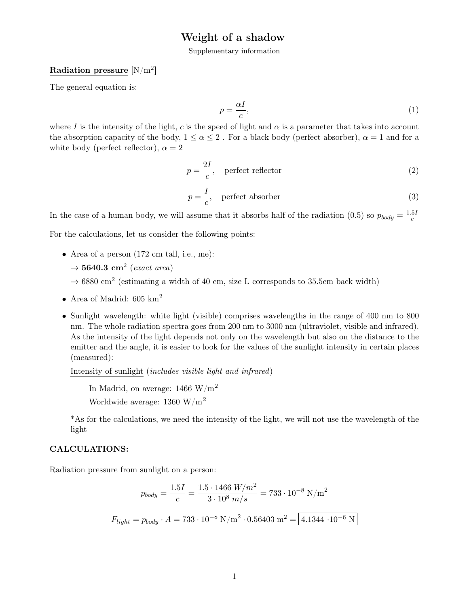# Weight of a shadow

Supplementary information

# Radiation pressure  $\rm[N/m^2]$

The general equation is:

$$
p = \frac{\alpha I}{c},\tag{1}
$$

where I is the intensity of the light, c is the speed of light and  $\alpha$  is a parameter that takes into account the absorption capacity of the body,  $1 \leq \alpha \leq 2$ . For a black body (perfect absorber),  $\alpha = 1$  and for a white body (perfect reflector),  $\alpha = 2$ 

$$
p = \frac{2I}{c}, \quad \text{perfect reflector} \tag{2}
$$

$$
p = \frac{I}{c}, \quad \text{perfect absorber} \tag{3}
$$

In the case of a human body, we will assume that it absorbs half of the radiation (0.5) so  $p_{body} = \frac{1.5I}{c}$ c

For the calculations, let us consider the following points:

- Area of a person (172 cm tall, i.e., me):
	- $\rightarrow$  5640.3 cm<sup>2</sup> (exact area)
	- $\rightarrow$  6880 cm<sup>2</sup> (estimating a width of 40 cm, size L corresponds to 35.5cm back width)
- Area of Madrid:  $605 \text{ km}^2$
- Sunlight wavelength: white light (visible) comprises wavelengths in the range of 400 nm to 800 nm. The whole radiation spectra goes from 200 nm to 3000 nm (ultraviolet, visible and infrared). As the intensity of the light depends not only on the wavelength but also on the distance to the emitter and the angle, it is easier to look for the values of the sunlight intensity in certain places (measured):

Intensity of sunlight (includes visible light and infrared)

In Madrid, on average:  $1466 \text{ W/m}^2$ 

Worldwide average: 1360 W/m<sup>2</sup>

\*As for the calculations, we need the intensity of the light, we will not use the wavelength of the light

#### CALCULATIONS:

Radiation pressure from sunlight on a person:

$$
p_{body} = \frac{1.5I}{c} = \frac{1.5 \cdot 1466 \text{ W/m}^2}{3 \cdot 10^8 \text{ m/s}} = 733 \cdot 10^{-8} \text{ N/m}^2
$$

$$
F_{light} = p_{body} \cdot A = 733 \cdot 10^{-8} \text{ N/m}^2 \cdot 0.56403 \text{ m}^2 = 4.1344 \cdot 10^{-6} \text{ N}
$$